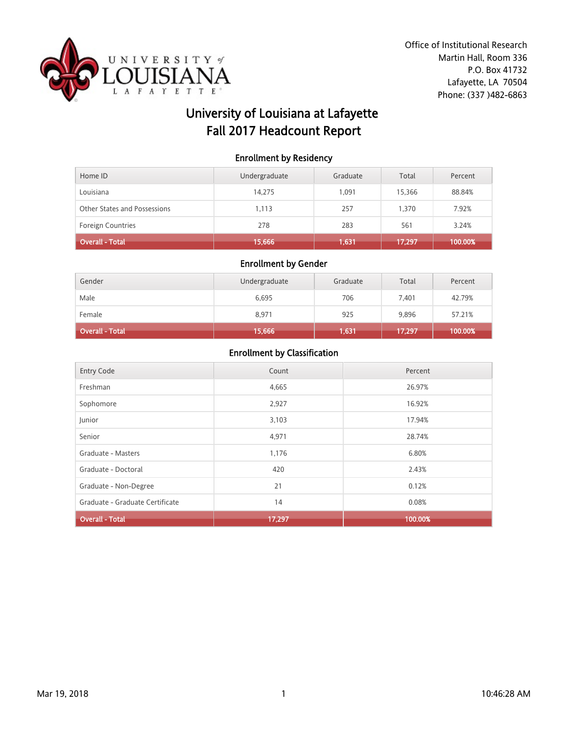

# University of Louisiana at Lafayette Fall 2017 Headcount Report

### Enrollment by Residency

| Home ID                      | Undergraduate | Graduate | Total  | Percent |
|------------------------------|---------------|----------|--------|---------|
| Louisiana                    | 14,275        | 1.091    | 15,366 | 88.84%  |
| Other States and Possessions | 1,113         | 257      | 1,370  | 7.92%   |
| <b>Foreign Countries</b>     | 278           | 283      | 561    | 3.24%   |
| Overall - Total              | 15,666        | 1,631    | 17,297 | 100.00% |

#### Enrollment by Gender

| Gender                 | Undergraduate | Graduate | Total  | Percent |
|------------------------|---------------|----------|--------|---------|
| Male                   | 6,695         | 706      | 7.401  | 42.79%  |
| Female                 | 8,971         | 925      | 9,896  | 57.21%  |
| <b>Overall - Total</b> | 15,666        | 1,631    | 17,297 | 100.00% |

| <b>Entry Code</b>               | Count  | Percent |
|---------------------------------|--------|---------|
| Freshman                        | 4,665  | 26.97%  |
| Sophomore                       | 2,927  | 16.92%  |
| Junior                          | 3,103  | 17.94%  |
| Senior                          | 4,971  | 28.74%  |
| Graduate - Masters              | 1,176  | 6.80%   |
| Graduate - Doctoral             | 420    | 2.43%   |
| Graduate - Non-Degree           | 21     | 0.12%   |
| Graduate - Graduate Certificate | 14     | 0.08%   |
| <b>Overall - Total</b>          | 17,297 | 100.00% |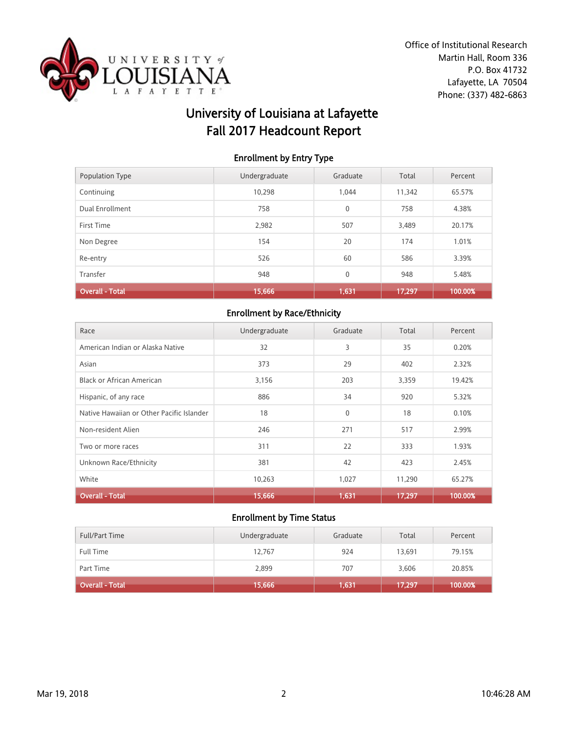

# University of Louisiana at Lafayette Fall 2017 Headcount Report

### Enrollment by Entry Type

| Population Type        | Undergraduate | Graduate     | Total  | Percent |
|------------------------|---------------|--------------|--------|---------|
| Continuing             | 10,298        | 1.044        | 11,342 | 65.57%  |
| Dual Enrollment        | 758           | $\mathbf{0}$ | 758    | 4.38%   |
| First Time             | 2.982         | 507          | 3,489  | 20.17%  |
| Non Degree             | 154           | 20           | 174    | 1.01%   |
| Re-entry               | 526           | 60           | 586    | 3.39%   |
| Transfer               | 948           | 0            | 948    | 5.48%   |
| <b>Overall - Total</b> | 15,666        | 1,631        | 17,297 | 100.00% |

# Enrollment by Race/Ethnicity

| Race                                      | Undergraduate | Graduate     | Total  | Percent |
|-------------------------------------------|---------------|--------------|--------|---------|
| American Indian or Alaska Native          | 32            | 3            | 35     | 0.20%   |
| Asian                                     | 373           | 29           | 402    | 2.32%   |
| <b>Black or African American</b>          | 3,156         | 203          | 3,359  | 19.42%  |
| Hispanic, of any race                     | 886           | 34           | 920    | 5.32%   |
| Native Hawaiian or Other Pacific Islander | 18            | $\mathbf{0}$ | 18     | 0.10%   |
| Non-resident Alien                        | 246           | 271          | 517    | 2.99%   |
| Two or more races                         | 311           | 22           | 333    | 1.93%   |
| Unknown Race/Ethnicity                    | 381           | 42           | 423    | 2.45%   |
| White                                     | 10,263        | 1,027        | 11,290 | 65.27%  |
| <b>Overall - Total</b>                    | 15,666        | 1,631        | 17,297 | 100.00% |

| <b>Full/Part Time</b> | Undergraduate | Graduate | Total  | Percent |
|-----------------------|---------------|----------|--------|---------|
| <b>Full Time</b>      | 12,767        | 924      | 13,691 | 79.15%  |
| Part Time             | 2,899         | 707      | 3,606  | 20.85%  |
| Overall - Total       | 15,666        | 1,631    | 17,297 | 100.00% |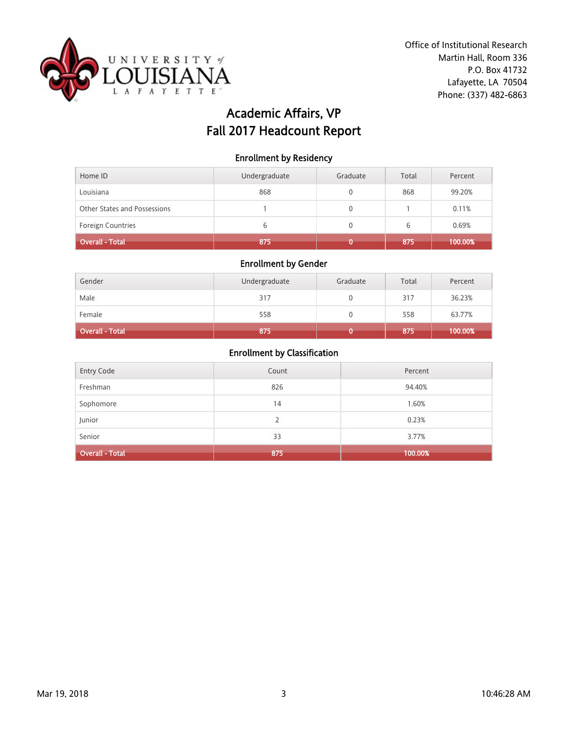

# Academic Affairs, VP Fall 2017 Headcount Report

#### Enrollment by Residency

| Home ID                      | Undergraduate | Graduate | Total | Percent |
|------------------------------|---------------|----------|-------|---------|
| Louisiana                    | 868           |          | 868   | 99.20%  |
| Other States and Possessions |               |          |       | 0.11%   |
| <b>Foreign Countries</b>     | 6             |          | 6     | 0.69%   |
| Overall - Total              | 875           |          | 875   | 100.00% |

## Enrollment by Gender

| Gender                 | Undergraduate | Graduate | Total | Percent |
|------------------------|---------------|----------|-------|---------|
| Male                   | 317           |          | 317   | 36.23%  |
| Female                 | 558           |          | 558   | 63.77%  |
| <b>Overall - Total</b> | 875           |          | 875   | 100.00% |

| Entry Code             | Count | Percent |
|------------------------|-------|---------|
| Freshman               | 826   | 94.40%  |
| Sophomore              | 14    | 1.60%   |
| Junior                 | 2     | 0.23%   |
| Senior                 | 33    | 3.77%   |
| <b>Overall - Total</b> | 875   | 100.00% |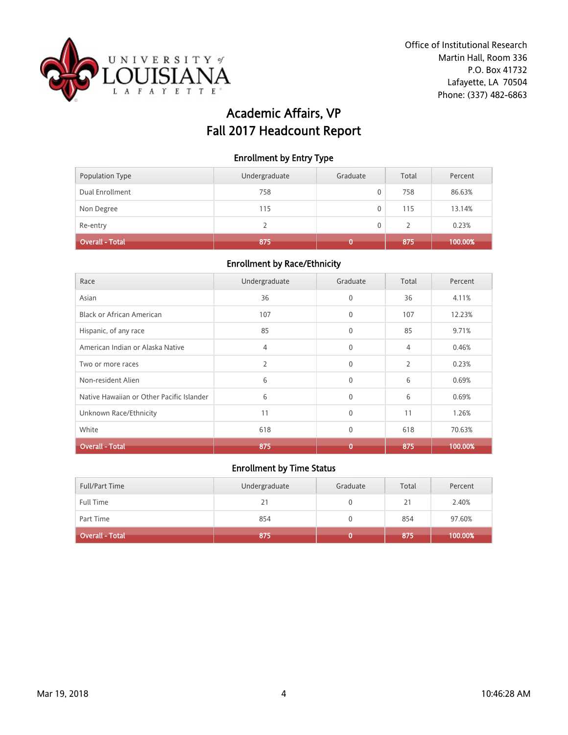

# Academic Affairs, VP Fall 2017 Headcount Report

#### Enrollment by Entry Type

| Population Type        | Undergraduate | Graduate | Total | Percent |
|------------------------|---------------|----------|-------|---------|
| Dual Enrollment        | 758           | 0        | 758   | 86.63%  |
| Non Degree             | 115           | 0        | 115   | 13.14%  |
| Re-entry               |               | 0        |       | 0.23%   |
| <b>Overall - Total</b> | 875           |          | 875   | 100.00% |

## Enrollment by Race/Ethnicity

| Race                                      | Undergraduate | Graduate     | Total          | Percent |
|-------------------------------------------|---------------|--------------|----------------|---------|
| Asian                                     | 36            | $\mathbf{0}$ | 36             | 4.11%   |
| Black or African American                 | 107           | $\mathbf{0}$ | 107            | 12.23%  |
| Hispanic, of any race                     | 85            | $\Omega$     | 85             | 9.71%   |
| American Indian or Alaska Native          | 4             | $\mathbf{0}$ | 4              | 0.46%   |
| Two or more races                         | 2             | $\mathbf{0}$ | $\overline{2}$ | 0.23%   |
| Non-resident Alien                        | 6             | $\mathbf{0}$ | 6              | 0.69%   |
| Native Hawaiian or Other Pacific Islander | 6             | $\mathbf{0}$ | 6              | 0.69%   |
| Unknown Race/Ethnicity                    | 11            | $\Omega$     | 11             | 1.26%   |
| White                                     | 618           | $\mathbf 0$  | 618            | 70.63%  |
| <b>Overall - Total</b>                    | 875           | ٢            | 875            | 100.00% |

| <b>Full/Part Time</b>  | Undergraduate | Graduate | Total | Percent |
|------------------------|---------------|----------|-------|---------|
| <b>Full Time</b>       | 21            |          | 21    | 2.40%   |
| Part Time              | 854           |          | 854   | 97.60%  |
| <b>Overall - Total</b> | 875           |          | 875   | 100.00% |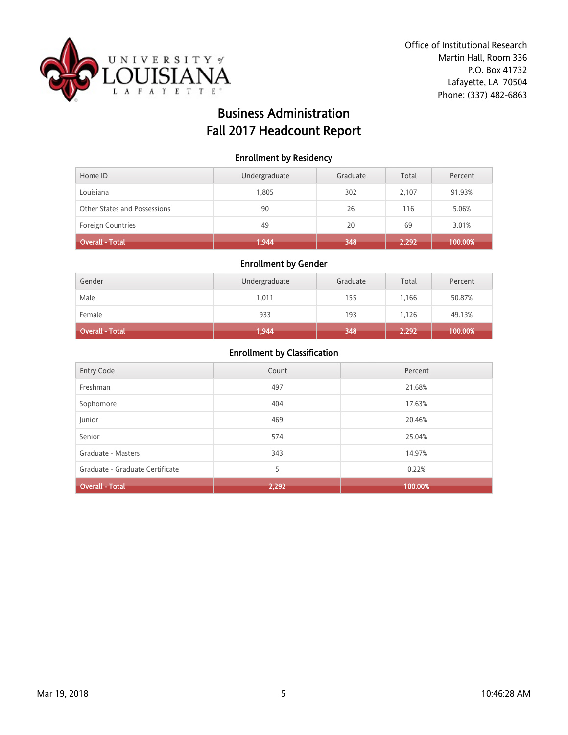

# Business Administration Fall 2017 Headcount Report

### Enrollment by Residency

| Home ID                      | Undergraduate | Graduate | Total | Percent |
|------------------------------|---------------|----------|-------|---------|
| Louisiana                    | 1,805         | 302      | 2.107 | 91.93%  |
| Other States and Possessions | 90            | 26       | 116   | 5.06%   |
| <b>Foreign Countries</b>     | 49            | 20       | 69    | 3.01%   |
| Overall - Total              | 1,944         | 348      | 2.292 | 100.00% |

## Enrollment by Gender

| Gender          | Undergraduate | Graduate | Total | Percent |
|-----------------|---------------|----------|-------|---------|
| Male            | 1,011         | 155      | 1.166 | 50.87%  |
| Female          | 933           | 193      | 1.126 | 49.13%  |
| Overall - Total | 1,944         | 348      | 2,292 | 100.00% |

| <b>Entry Code</b>               | Count | Percent |
|---------------------------------|-------|---------|
| Freshman                        | 497   | 21.68%  |
| Sophomore                       | 404   | 17.63%  |
| Junior                          | 469   | 20.46%  |
| Senior                          | 574   | 25.04%  |
| Graduate - Masters              | 343   | 14.97%  |
| Graduate - Graduate Certificate | 5     | 0.22%   |
| <b>Overall - Total</b>          | 2,292 | 100.00% |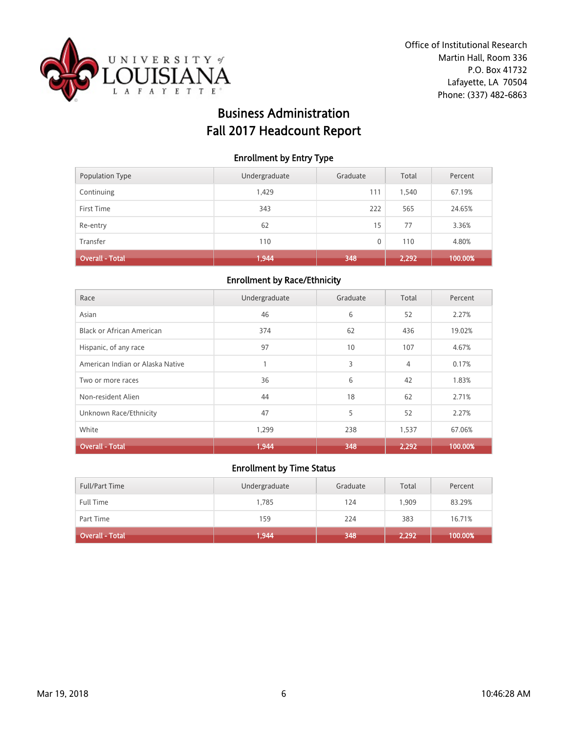

# Business Administration Fall 2017 Headcount Report

### Enrollment by Entry Type

| Population Type | Undergraduate | Graduate | Total | Percent |
|-----------------|---------------|----------|-------|---------|
| Continuing      | 1,429         | 111      | 1,540 | 67.19%  |
| First Time      | 343           | 222      | 565   | 24.65%  |
| Re-entry        | 62            | 15       | 77    | 3.36%   |
| Transfer        | 110           | 0        | 110   | 4.80%   |
| Overall - Total | 1,944         | 348      | 2,292 | 100.00% |

#### Enrollment by Race/Ethnicity

| Race                             | Undergraduate | Graduate | Total          | Percent |
|----------------------------------|---------------|----------|----------------|---------|
| Asian                            | 46            | 6        | 52             | 2.27%   |
| <b>Black or African American</b> | 374           | 62       | 436            | 19.02%  |
| Hispanic, of any race            | 97            | 10       | 107            | 4.67%   |
| American Indian or Alaska Native |               | 3        | $\overline{4}$ | 0.17%   |
| Two or more races                | 36            | 6        | 42             | 1.83%   |
| Non-resident Alien               | 44            | 18       | 62             | 2.71%   |
| Unknown Race/Ethnicity           | 47            | 5        | 52             | 2.27%   |
| White                            | 1,299         | 238      | 1,537          | 67.06%  |
| <b>Overall - Total</b>           | 1.944         | 348      | 2,292          | 100.00% |

| <b>Full/Part Time</b> | Undergraduate | Graduate | Total | Percent |
|-----------------------|---------------|----------|-------|---------|
| <b>Full Time</b>      | 1,785         | 124      | 1.909 | 83.29%  |
| Part Time             | 159           | 224      | 383   | 16.71%  |
| Overall - Total       | 1,944         | 348      | 2,292 | 100.00% |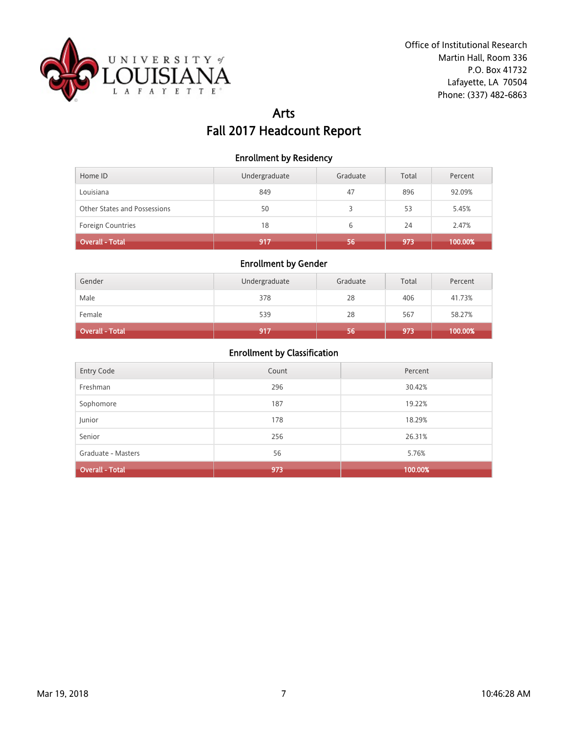

# Arts Fall 2017 Headcount Report

### Enrollment by Residency

| Home ID                      | Undergraduate | Graduate | Total | Percent |
|------------------------------|---------------|----------|-------|---------|
| Louisiana                    | 849           | 47       | 896   | 92.09%  |
| Other States and Possessions | 50            |          | 53    | 5.45%   |
| Foreign Countries            | 18            | 6        | 24    | 2.47%   |
| Overall - Total              | 917           | 56       | 973   | 100.00% |

## Enrollment by Gender

| Gender                 | Undergraduate | Graduate | Total | Percent |
|------------------------|---------------|----------|-------|---------|
| Male                   | 378           | 28       | 406   | 41.73%  |
| Female                 | 539           | 28       | 567   | 58.27%  |
| <b>Overall - Total</b> | 917           | 56       | 973   | 100.00% |

| <b>Entry Code</b>      | Count | Percent |
|------------------------|-------|---------|
| Freshman               | 296   | 30.42%  |
| Sophomore              | 187   | 19.22%  |
| Junior                 | 178   | 18.29%  |
| Senior                 | 256   | 26.31%  |
| Graduate - Masters     | 56    | 5.76%   |
| <b>Overall - Total</b> | 973   | 100.00% |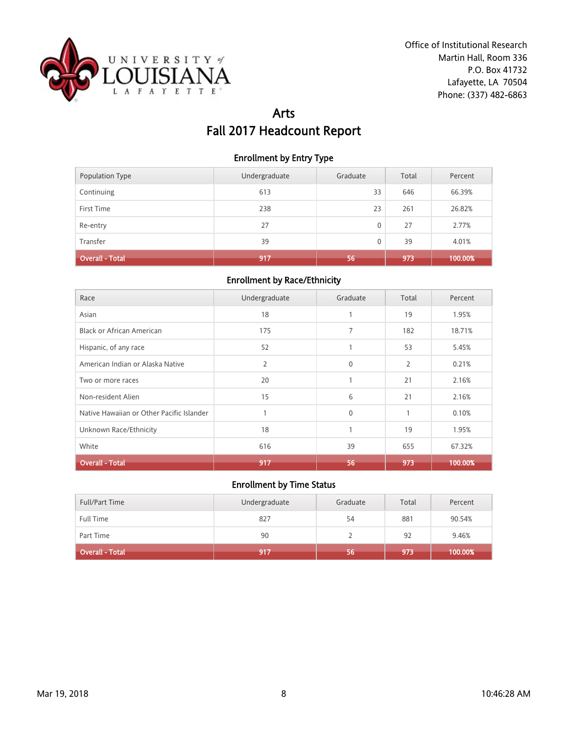

# Arts Fall 2017 Headcount Report

### Enrollment by Entry Type

| <b>Population Type</b> | Undergraduate | Graduate | Total | Percent |
|------------------------|---------------|----------|-------|---------|
| Continuing             | 613           | 33       | 646   | 66.39%  |
| First Time             | 238           | 23       | 261   | 26.82%  |
| Re-entry               | 27            | 0        | 27    | 2.77%   |
| Transfer               | 39            | 0        | 39    | 4.01%   |
| <b>Overall - Total</b> | 917           | 56       | 973   | 100.00% |

#### Enrollment by Race/Ethnicity

| Race                                      | Undergraduate | Graduate     | Total        | Percent |
|-------------------------------------------|---------------|--------------|--------------|---------|
| Asian                                     | 18            | $\mathbf{1}$ | 19           | 1.95%   |
| Black or African American                 | 175           | 7            | 182          | 18.71%  |
| Hispanic, of any race                     | 52            |              | 53           | 5.45%   |
| American Indian or Alaska Native          | 2             | $\mathbf{0}$ | 2            | 0.21%   |
| Two or more races                         | 20            | 1            | 21           | 2.16%   |
| Non-resident Alien                        | 15            | 6            | 21           | 2.16%   |
| Native Hawaiian or Other Pacific Islander |               | $\mathbf{0}$ | $\mathbf{1}$ | 0.10%   |
| Unknown Race/Ethnicity                    | 18            | 1            | 19           | 1.95%   |
| White                                     | 616           | 39           | 655          | 67.32%  |
| <b>Overall - Total</b>                    | 917           | 56           | 973          | 100.00% |

| <b>Full/Part Time</b> | Undergraduate | Graduate | Total | Percent |
|-----------------------|---------------|----------|-------|---------|
| Full Time             | 827           | 54       | 881   | 90.54%  |
| Part Time             | 90            |          | 92    | 9.46%   |
| Overall - Total       | 917           | 56       | 973   | 100.00% |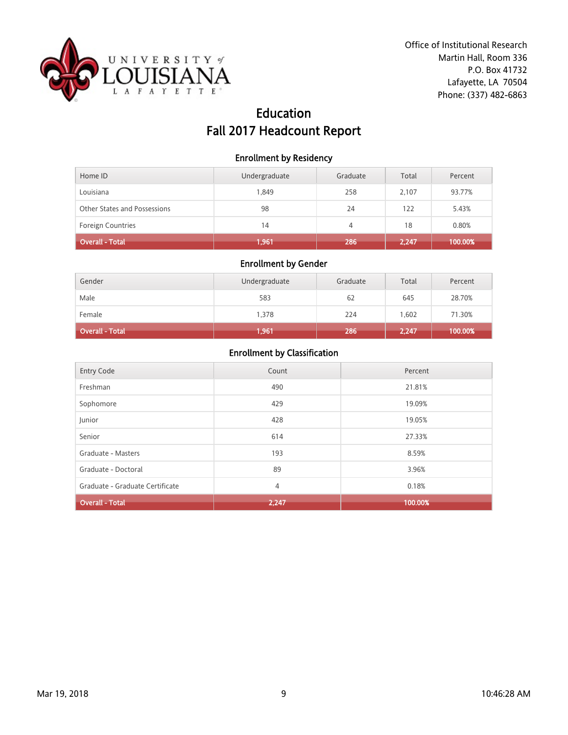

# Education Fall 2017 Headcount Report

#### Enrollment by Residency

| Home ID                      | Undergraduate | Graduate | Total | Percent |
|------------------------------|---------------|----------|-------|---------|
| Louisiana                    | 1.849         | 258      | 2.107 | 93.77%  |
| Other States and Possessions | 98            | 24       | 122   | 5.43%   |
| <b>Foreign Countries</b>     | 14            | 4        | 18    | 0.80%   |
| Overall - Total              | 1,961         | 286      | 2.247 | 100.00% |

## Enrollment by Gender

| Gender          | Undergraduate | Graduate | Total | Percent |
|-----------------|---------------|----------|-------|---------|
| Male            | 583           | 62       | 645   | 28.70%  |
| Female          | 1,378         | 224      | 1,602 | 71.30%  |
| Overall - Total | 1,961         | 286      | 2,247 | 100.00% |

| <b>Entry Code</b>               | Count | Percent |
|---------------------------------|-------|---------|
| Freshman                        | 490   | 21.81%  |
| Sophomore                       | 429   | 19.09%  |
| Junior                          | 428   | 19.05%  |
| Senior                          | 614   | 27.33%  |
| Graduate - Masters              | 193   | 8.59%   |
| Graduate - Doctoral             | 89    | 3.96%   |
| Graduate - Graduate Certificate | 4     | 0.18%   |
| <b>Overall - Total</b>          | 2,247 | 100.00% |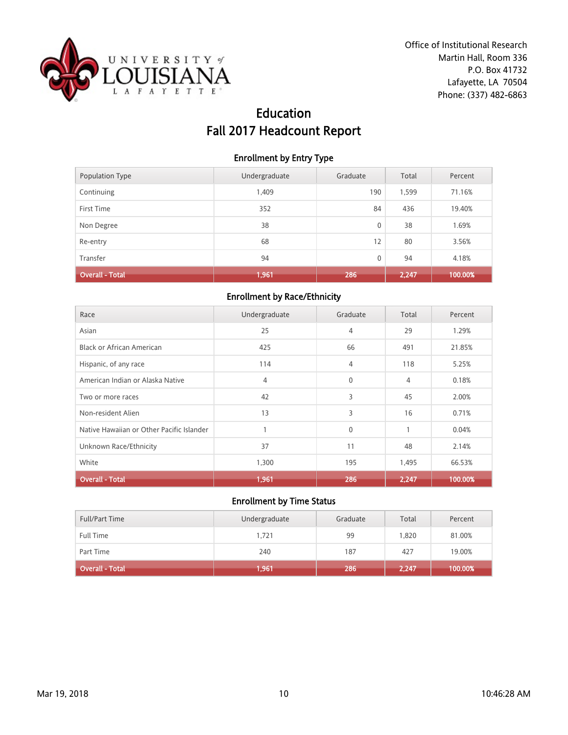

# Education Fall 2017 Headcount Report

### Enrollment by Entry Type

| Population Type        | Undergraduate | Graduate | Total | Percent |
|------------------------|---------------|----------|-------|---------|
| Continuing             | 1,409         | 190      | 1,599 | 71.16%  |
| First Time             | 352           | 84       | 436   | 19.40%  |
| Non Degree             | 38            | 0        | 38    | 1.69%   |
| Re-entry               | 68            | 12       | 80    | 3.56%   |
| Transfer               | 94            | 0        | 94    | 4.18%   |
| <b>Overall - Total</b> | 1,961         | 286      | 2,247 | 100.00% |

## Enrollment by Race/Ethnicity

| Race                                      | Undergraduate | Graduate     | Total        | Percent |
|-------------------------------------------|---------------|--------------|--------------|---------|
| Asian                                     | 25            | 4            | 29           | 1.29%   |
| <b>Black or African American</b>          | 425           | 66           | 491          | 21.85%  |
| Hispanic, of any race                     | 114           | 4            | 118          | 5.25%   |
| American Indian or Alaska Native          | 4             | $\mathbf{0}$ | 4            | 0.18%   |
| Two or more races                         | 42            | 3            | 45           | 2.00%   |
| Non-resident Alien                        | 13            | 3            | 16           | 0.71%   |
| Native Hawaiian or Other Pacific Islander |               | $\mathbf{0}$ | $\mathbf{1}$ | 0.04%   |
| Unknown Race/Ethnicity                    | 37            | 11           | 48           | 2.14%   |
| White                                     | 1,300         | 195          | 1,495        | 66.53%  |
| Overall - Total                           | 1,961         | 286          | 2,247        | 100.00% |

| <b>Full/Part Time</b> | Undergraduate | Graduate | Total | Percent    |
|-----------------------|---------------|----------|-------|------------|
| <b>Full Time</b>      | 1.721         | 99       | 1.820 | 81.00%     |
| Part Time             | 240           | 187      | 427   | 19.00%     |
| Overall - Total       | 1,961         | 286      | 2,247 | $100.00\%$ |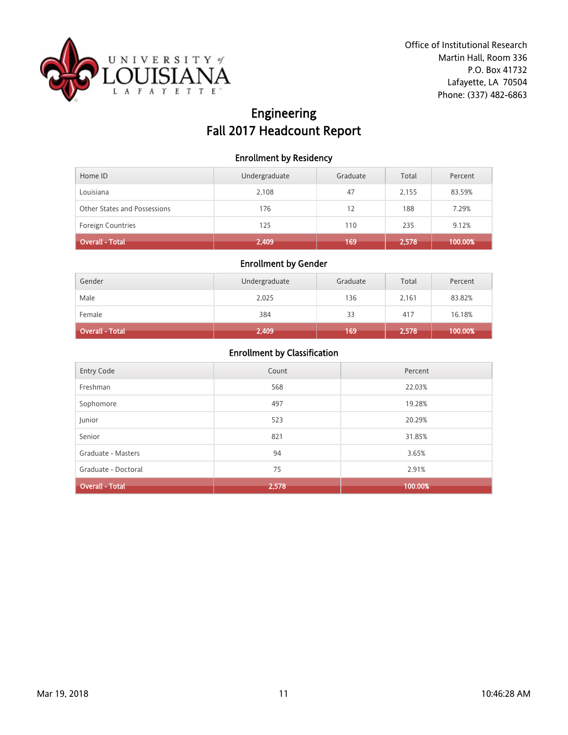

# Engineering Fall 2017 Headcount Report

### Enrollment by Residency

| Home ID                      | Undergraduate | Graduate | Total | Percent |
|------------------------------|---------------|----------|-------|---------|
| Louisiana                    | 2,108         | 47       | 2,155 | 83.59%  |
| Other States and Possessions | 176           | 12       | 188   | 7.29%   |
| <b>Foreign Countries</b>     | 125           | 110      | 235   | 9.12%   |
| Overall - Total              | 2,409         | 169      | 2,578 | 100.00% |

## Enrollment by Gender

| Gender          | Undergraduate | Graduate | Total | Percent |
|-----------------|---------------|----------|-------|---------|
| Male            | 2,025         | 136      | 2,161 | 83.82%  |
| Female          | 384           | 33       | 417   | 16.18%  |
| Overall - Total | 2,409         | 169      | 2,578 | 100.00% |

| Entry Code          | Count | Percent |
|---------------------|-------|---------|
| Freshman            | 568   | 22.03%  |
| Sophomore           | 497   | 19.28%  |
| Junior              | 523   | 20.29%  |
| Senior              | 821   | 31.85%  |
| Graduate - Masters  | 94    | 3.65%   |
| Graduate - Doctoral | 75    | 2.91%   |
| Overall - Total     | 2,578 | 100.00% |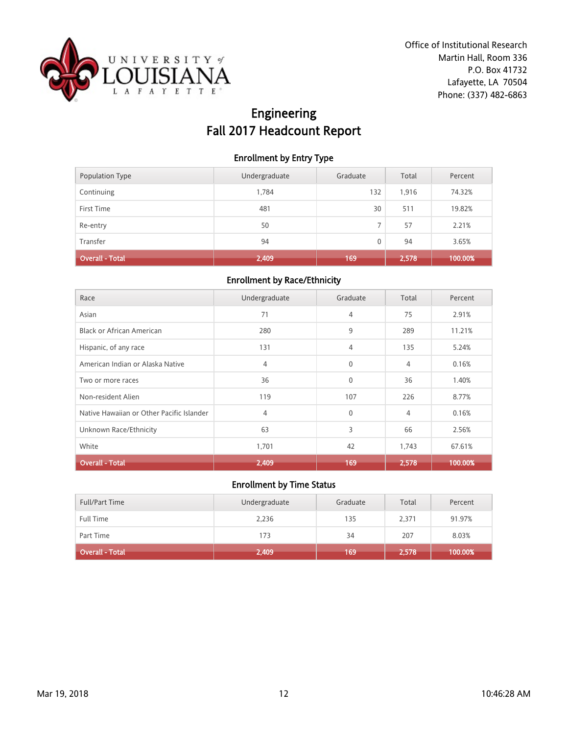

# Engineering Fall 2017 Headcount Report

### Enrollment by Entry Type

| Population Type        | Undergraduate | Graduate | Total | Percent |
|------------------------|---------------|----------|-------|---------|
| Continuing             | 1.784         | 132      | 1,916 | 74.32%  |
| First Time             | 481           | 30       | 511   | 19.82%  |
| Re-entry               | 50            | ⇁        | 57    | 2.21%   |
| Transfer               | 94            | 0        | 94    | 3.65%   |
| <b>Overall - Total</b> | 2,409         | 169.     | 2,578 | 100.00% |

#### Enrollment by Race/Ethnicity

| Race                                      | Undergraduate | Graduate     | Total          | Percent |
|-------------------------------------------|---------------|--------------|----------------|---------|
| Asian                                     | 71            | 4            | 75             | 2.91%   |
| <b>Black or African American</b>          | 280           | 9            | 289            | 11.21%  |
| Hispanic, of any race                     | 131           | 4            | 135            | 5.24%   |
| American Indian or Alaska Native          | 4             | $\mathbf 0$  | $\overline{4}$ | 0.16%   |
| Two or more races                         | 36            | $\mathbf{0}$ | 36             | 1.40%   |
| Non-resident Alien                        | 119           | 107          | 226            | 8.77%   |
| Native Hawaiian or Other Pacific Islander | 4             | $\mathbf{0}$ | $\overline{4}$ | 0.16%   |
| Unknown Race/Ethnicity                    | 63            | 3            | 66             | 2.56%   |
| White                                     | 1,701         | 42           | 1,743          | 67.61%  |
| <b>Overall - Total</b>                    | 2,409         | 169          | 2.578          | 100.00% |

| <b>Full/Part Time</b> | Undergraduate | Graduate | Total | Percent |
|-----------------------|---------------|----------|-------|---------|
| <b>Full Time</b>      | 2,236         | 135      | 2,371 | 91.97%  |
| Part Time             | 173           | 34       | 207   | 8.03%   |
| Overall - Total       | 2,409         | 169      | 2,578 | 100.00% |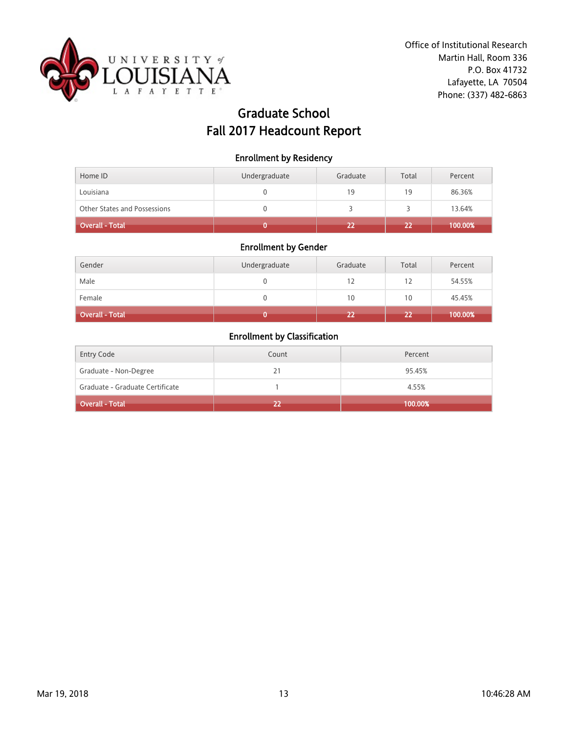

# Graduate School Fall 2017 Headcount Report

### Enrollment by Residency

| Home ID                             | Undergraduate | Graduate | Total | Percent |
|-------------------------------------|---------------|----------|-------|---------|
| Louisiana                           |               | 19       | 19    | 86.36%  |
| <b>Other States and Possessions</b> |               |          |       | 13.64%  |
| Overall - Total                     |               |          | 22    | 100.00% |

# Enrollment by Gender

| Gender          | Undergraduate | Graduate | Total | Percent |
|-----------------|---------------|----------|-------|---------|
| Male            | U             | 12       | 12    | 54.55%  |
| Female          |               | 10       | 10    | 45.45%  |
| Overall - Total |               | 22       | 22    | 100.00% |

| <b>Entry Code</b>               | Count | Percent |
|---------------------------------|-------|---------|
| Graduate - Non-Degree           | 21    | 95.45%  |
| Graduate - Graduate Certificate |       | 4.55%   |
| Overall - Total '               | 22    | 100.00% |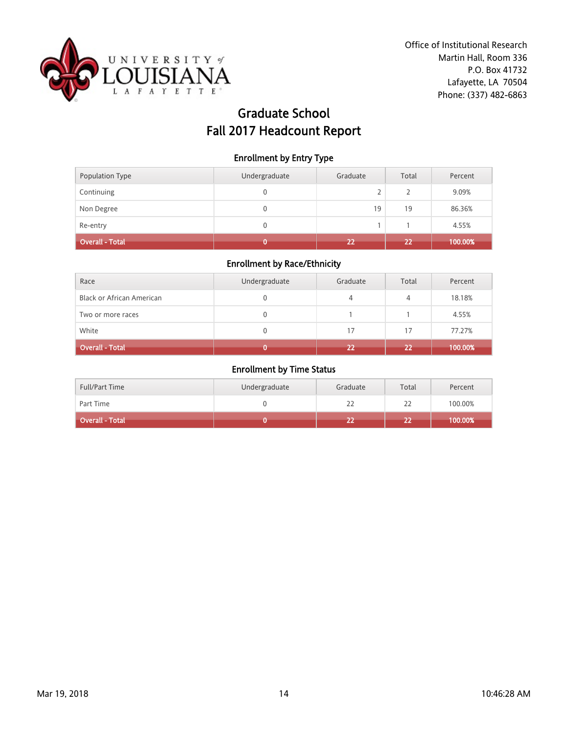

# Graduate School Fall 2017 Headcount Report

### Enrollment by Entry Type

| Population Type        | Undergraduate | Graduate | Total | Percent |
|------------------------|---------------|----------|-------|---------|
| Continuing             | 0             | ∠        |       | 9.09%   |
| Non Degree             | 0             | 19       | 19    | 86.36%  |
| Re-entry               | 0             |          |       | 4.55%   |
| <b>Overall - Total</b> |               | 22       | 22    | 100.00% |

## Enrollment by Race/Ethnicity

| Race                             | Undergraduate | Graduate | Total | Percent |
|----------------------------------|---------------|----------|-------|---------|
| <b>Black or African American</b> | 0             | 4        | 4     | 18.18%  |
| Two or more races                | 0             |          |       | 4.55%   |
| White                            | 0             | 17       | 17    | 77.27%  |
| Overall - Total                  |               | 22       | 22    | 100.00% |

| <b>Full/Part Time</b> | Undergraduate | Graduate | Total | Percent |
|-----------------------|---------------|----------|-------|---------|
| Part Time             |               |          | 22    | 100.00% |
| Overall - Total       |               |          |       | 100.00% |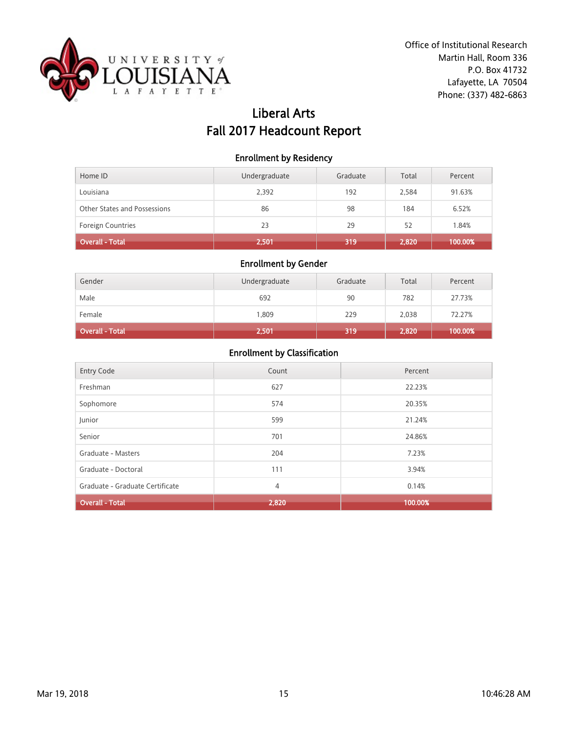

# Liberal Arts Fall 2017 Headcount Report

### Enrollment by Residency

| Home ID                      | Undergraduate | Graduate | Total | Percent |
|------------------------------|---------------|----------|-------|---------|
| Louisiana                    | 2,392         | 192      | 2,584 | 91.63%  |
| Other States and Possessions | 86            | 98       | 184   | 6.52%   |
| Foreign Countries            | 23            | 29       | 52    | 1.84%   |
| <b>Overall - Total</b>       | 2,501         | 319      | 2,820 | 100.00% |

## Enrollment by Gender

| Gender                 | Undergraduate | Graduate | Total | Percent |
|------------------------|---------------|----------|-------|---------|
| Male                   | 692           | 90       | 782   | 27.73%  |
| Female                 | 1,809         | 229      | 2,038 | 72.27%  |
| <b>Overall - Total</b> | 2,501         | 319      | 2,820 | 100.00% |

| <b>Entry Code</b>               | Count | Percent |
|---------------------------------|-------|---------|
| Freshman                        | 627   | 22.23%  |
| Sophomore                       | 574   | 20.35%  |
| Junior                          | 599   | 21.24%  |
| Senior                          | 701   | 24.86%  |
| Graduate - Masters              | 204   | 7.23%   |
| Graduate - Doctoral             | 111   | 3.94%   |
| Graduate - Graduate Certificate | 4     | 0.14%   |
| <b>Overall - Total</b>          | 2,820 | 100.00% |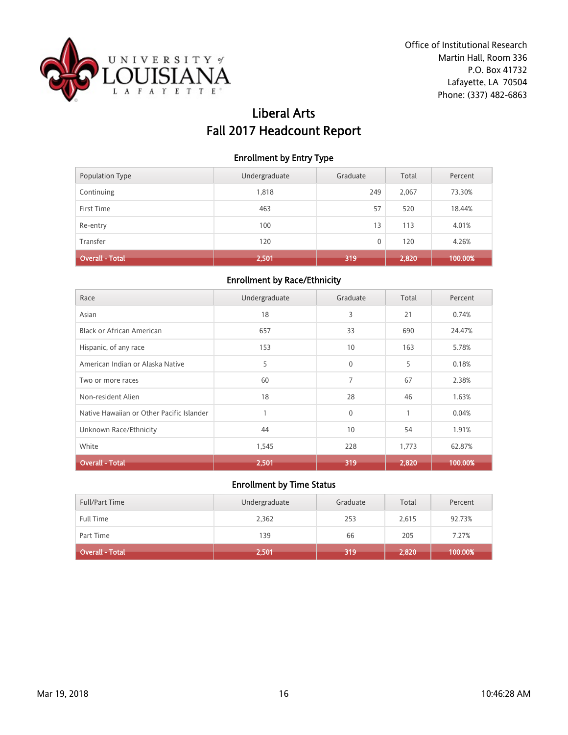

# Liberal Arts Fall 2017 Headcount Report

### Enrollment by Entry Type

| Population Type        | Undergraduate | Graduate | Total | Percent |
|------------------------|---------------|----------|-------|---------|
| Continuing             | 1,818         | 249      | 2.067 | 73.30%  |
| First Time             | 463           | 57       | 520   | 18.44%  |
| Re-entry               | 100           | 13       | 113   | 4.01%   |
| Transfer               | 120           | 0        | 120   | 4.26%   |
| <b>Overall - Total</b> | 2,501         | 319      | 2,820 | 100.00% |

#### Enrollment by Race/Ethnicity

| Race                                      | Undergraduate | Graduate        | Total | Percent |
|-------------------------------------------|---------------|-----------------|-------|---------|
| Asian                                     | 18            | 3               | 21    | 0.74%   |
| <b>Black or African American</b>          | 657           | 33              | 690   | 24.47%  |
| Hispanic, of any race                     | 153           | 10 <sup>°</sup> | 163   | 5.78%   |
| American Indian or Alaska Native          | 5             | $\mathbf 0$     | 5     | 0.18%   |
| Two or more races                         | 60            | 7               | 67    | 2.38%   |
| Non-resident Alien                        | 18            | 28              | 46    | 1.63%   |
| Native Hawaiian or Other Pacific Islander |               | $\mathbf 0$     | 1     | 0.04%   |
| Unknown Race/Ethnicity                    | 44            | 10              | 54    | 1.91%   |
| White                                     | 1,545         | 228             | 1,773 | 62.87%  |
| <b>Overall - Total</b>                    | 2,501         | 319             | 2.820 | 100.00% |

| <b>Full/Part Time</b> | Undergraduate | Graduate | Total | Percent |
|-----------------------|---------------|----------|-------|---------|
| <b>Full Time</b>      | 2,362         | 253      | 2,615 | 92.73%  |
| Part Time             | 139           | 66       | 205   | 7.27%   |
| Overall - Total       | 2,501         | 319      | 2,820 | 100.00% |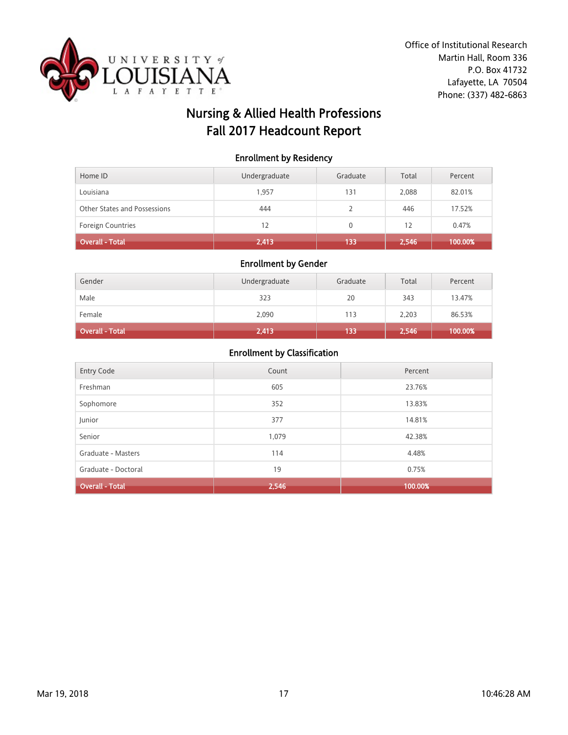

# Nursing & Allied Health Professions Fall 2017 Headcount Report

### Enrollment by Residency

| Home ID                      | Undergraduate | Graduate | Total | Percent |
|------------------------------|---------------|----------|-------|---------|
| Louisiana                    | 1.957         | 131      | 2,088 | 82.01%  |
| Other States and Possessions | 444           |          | 446   | 17.52%  |
| <b>Foreign Countries</b>     | 12            | 0        | 12    | 0.47%   |
| Overall - Total              | 2,413         | 133      | 2,546 | 100.00% |

#### Enrollment by Gender

| Gender                 | Undergraduate | Graduate | Total | Percent |
|------------------------|---------------|----------|-------|---------|
| Male                   | 323           | 20       | 343   | 13.47%  |
| Female                 | 2,090         | 113      | 2,203 | 86.53%  |
| <b>Overall - Total</b> | 2,413         | 133      | 2,546 | 100.00% |

|                        | Count | Percent |
|------------------------|-------|---------|
| <b>Entry Code</b>      |       |         |
| Freshman               | 605   | 23.76%  |
| Sophomore              | 352   | 13.83%  |
| Junior                 | 377   | 14.81%  |
| Senior                 | 1,079 | 42.38%  |
| Graduate - Masters     | 114   | 4.48%   |
| Graduate - Doctoral    | 19    | 0.75%   |
| <b>Overall - Total</b> | 2,546 | 100.00% |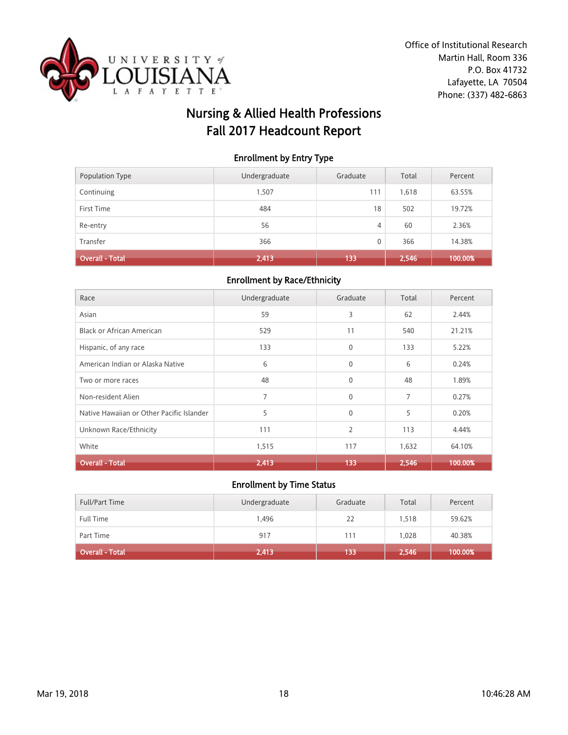

# Nursing & Allied Health Professions Fall 2017 Headcount Report

### Enrollment by Entry Type

| Population Type        | Undergraduate | Graduate | Total | Percent |
|------------------------|---------------|----------|-------|---------|
| Continuing             | 1.507         | 111      | 1,618 | 63.55%  |
| First Time             | 484           | 18       | 502   | 19.72%  |
| Re-entry               | 56            | 4        | 60    | 2.36%   |
| Transfer               | 366           | 0        | 366   | 14.38%  |
| <b>Overall - Total</b> | 2,413         | 133      | 2,546 | 100.00% |

#### Enrollment by Race/Ethnicity

| Race                                      | Undergraduate | Graduate       | Total | Percent |
|-------------------------------------------|---------------|----------------|-------|---------|
| Asian                                     | 59            | 3              | 62    | 2.44%   |
| Black or African American                 | 529           | 11             | 540   | 21.21%  |
| Hispanic, of any race                     | 133           | $\mathbf{0}$   | 133   | 5.22%   |
| American Indian or Alaska Native          | 6             | $\mathbf{0}$   | 6     | 0.24%   |
| Two or more races                         | 48            | $\mathbf{0}$   | 48    | 1.89%   |
| Non-resident Alien                        | 7             | $\mathbf{0}$   | 7     | 0.27%   |
| Native Hawaiian or Other Pacific Islander | 5             | $\mathbf 0$    | 5     | 0.20%   |
| Unknown Race/Ethnicity                    | 111           | $\overline{2}$ | 113   | 4.44%   |
| White                                     | 1,515         | 117            | 1,632 | 64.10%  |
| <b>Overall - Total</b>                    | 2,413         | 133            | 2,546 | 100.00% |

| <b>Full/Part Time</b>        | Undergraduate | Graduate | Total | Percent |
|------------------------------|---------------|----------|-------|---------|
| Full Time                    | 1.496         | 22       | 1.518 | 59.62%  |
| Part Time                    | 917           | 111      | 1.028 | 40.38%  |
| Overall - Total <sup> </sup> | 2,413         | 133      | 2,546 | 100.00% |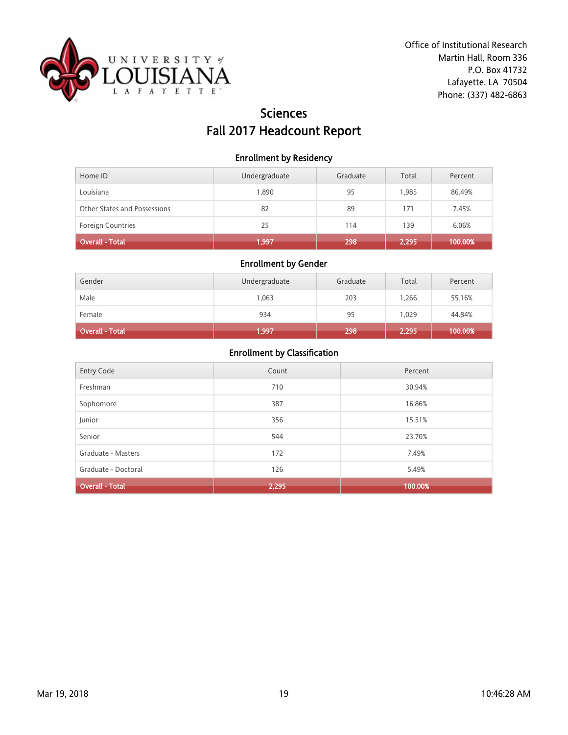

# Sciences Fall 2017 Headcount Report

#### Enrollment by Residency

| Home ID                      | Undergraduate | Graduate | Total | Percent |
|------------------------------|---------------|----------|-------|---------|
| Louisiana                    | 1,890         | 95       | 1.985 | 86.49%  |
| Other States and Possessions | 82            | 89       | 171   | 7.45%   |
| Foreign Countries            | 25            | 114      | 139   | 6.06%   |
| Overall - Total              | 1,997         | 298      | 2,295 | 100.00% |

## Enrollment by Gender

| Gender          | Undergraduate | Graduate | Total | Percent |
|-----------------|---------------|----------|-------|---------|
| Male            | 1,063         | 203      | 1.266 | 55.16%  |
| Female          | 934           | 95       | 1.029 | 44.84%  |
| Overall - Total | 1,997         | 298      | 2,295 | 100.00% |

| Entry Code             | Count | Percent |
|------------------------|-------|---------|
| Freshman               | 710   | 30.94%  |
| Sophomore              | 387   | 16.86%  |
| Junior                 | 356   | 15.51%  |
| Senior                 | 544   | 23.70%  |
| Graduate - Masters     | 172   | 7.49%   |
| Graduate - Doctoral    | 126   | 5.49%   |
| <b>Overall - Total</b> | 2,295 | 100.00% |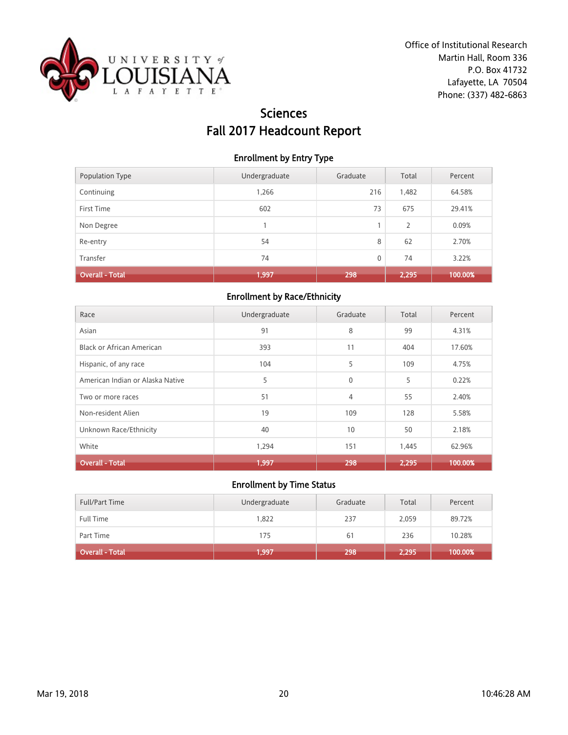

# Sciences Fall 2017 Headcount Report

### Enrollment by Entry Type

| Population Type        | Undergraduate | Graduate | Total          | Percent |
|------------------------|---------------|----------|----------------|---------|
| Continuing             | 1,266         | 216      | 1,482          | 64.58%  |
| First Time             | 602           | 73       | 675            | 29.41%  |
| Non Degree             |               |          | $\overline{2}$ | 0.09%   |
| Re-entry               | 54            | 8        | 62             | 2.70%   |
| Transfer               | 74            | 0        | 74             | 3.22%   |
| <b>Overall - Total</b> | 1,997         | 298      | 2,295          | 100.00% |

## Enrollment by Race/Ethnicity

| Race                             | Undergraduate | Graduate     | Total | Percent |
|----------------------------------|---------------|--------------|-------|---------|
| Asian                            | 91            | 8            | 99    | 4.31%   |
| Black or African American        | 393           | 11           | 404   | 17.60%  |
| Hispanic, of any race            | 104           | 5            | 109   | 4.75%   |
| American Indian or Alaska Native | 5             | $\mathbf{0}$ | 5     | 0.22%   |
| Two or more races                | 51            | 4            | 55    | 2.40%   |
| Non-resident Alien               | 19            | 109          | 128   | 5.58%   |
| Unknown Race/Ethnicity           | 40            | 10           | 50    | 2.18%   |
| White                            | 1,294         | 151          | 1,445 | 62.96%  |
| <b>Overall - Total</b>           | 1,997         | 298          | 2,295 | 100.00% |

| <b>Full/Part Time</b>  | Undergraduate | Graduate | Total | Percent |
|------------------------|---------------|----------|-------|---------|
| <b>Full Time</b>       | 1,822         | 237      | 2,059 | 89.72%  |
| Part Time              | 175           | 61       | 236   | 10.28%  |
| <b>Overall - Total</b> | 1,997         | 298      | 2,295 | 100.00% |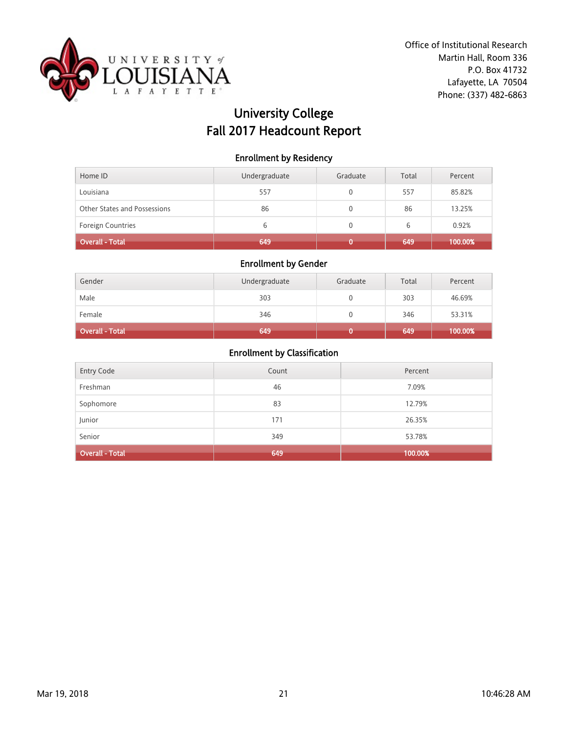

# University College Fall 2017 Headcount Report

#### Enrollment by Residency

| Home ID                      | Undergraduate | Graduate | Total | Percent |
|------------------------------|---------------|----------|-------|---------|
| Louisiana                    | 557           |          | 557   | 85.82%  |
| Other States and Possessions | 86            |          | 86    | 13.25%  |
| <b>Foreign Countries</b>     | 6             |          | 6     | 0.92%   |
| Overall - Total              | 649           |          | 649   | 100.00% |

## Enrollment by Gender

| Gender                 | Undergraduate | Graduate | Total | Percent |
|------------------------|---------------|----------|-------|---------|
| Male                   | 303           |          | 303   | 46.69%  |
| Female                 | 346           |          | 346   | 53.31%  |
| <b>Overall - Total</b> | 649           |          | 649   | 100.00% |

| <b>Entry Code</b>      | Count | Percent |
|------------------------|-------|---------|
| Freshman               | 46    | 7.09%   |
| Sophomore              | 83    | 12.79%  |
| Junior                 | 171   | 26.35%  |
| Senior                 | 349   | 53.78%  |
| <b>Overall - Total</b> | 649   | 100.00% |